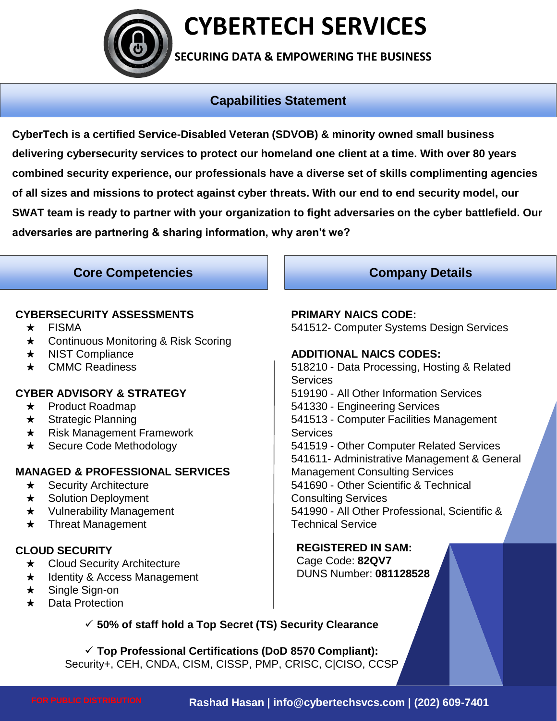

### **CYBERTECH SERVICES**

**SECURING DATA & EMPOWERING THE BUSINESS**

### **Capabilities Statement**

**CyberTech is a certified Service-Disabled Veteran (SDVOB) & minority owned small business delivering cybersecurity services to protect our homeland one client at a time. With over 80 years combined security experience, our professionals have a diverse set of skills complimenting agencies of all sizes and missions to protect against cyber threats. With our end to end security model, our SWAT team is ready to partner with your organization to fight adversaries on the cyber battlefield. Our adversaries are partnering & sharing information, why aren't we?**

#### **Core Competencies Company Details**

#### **CYBERSECURITY ASSESSMENTS**

- ★ FISMA
- ★ Continuous Monitoring & Risk Scoring
- ★ NIST Compliance
- ★ CMMC Readiness

#### **CYBER ADVISORY & STRATEGY**

- **★** Product Roadmap
- ★ Strategic Planning
- ★ Risk Management Framework
- ★ Secure Code Methodology

#### **MANAGED & PROFESSIONAL SERVICES**

- $\star$  Security Architecture
- ★ Solution Deployment
- ★ Vulnerability Management
- ★ Threat Management

#### **CLOUD SECURITY**

- ★ Cloud Security Architecture
- ★ Identity & Access Management
- ★ Single Sign-on
- ★ Data Protection

#### **PRIMARY NAICS CODE:**

541512- Computer Systems Design Services

#### **ADDITIONAL NAICS CODES:**

518210 - Data Processing, Hosting & Related Services 519190 - All Other Information Services 541330 - Engineering Services 541513 - Computer Facilities Management **Services** 541519 - Other Computer Related Services 541611- Administrative Management & General Management Consulting Services 541690 - Other Scientific & Technical Consulting Services 541990 - All Other Professional, Scientific & Technical Service

#### **REGISTERED IN SAM:**

Cage Code: **82QV7** DUNS Number: **081128528**

#### ✓ **50% of staff hold a Top Secret (TS) Security Clearance**

✓ **Top Professional Certifications (DoD 8570 Compliant):** Security+, CEH, CNDA, CISM, CISSP, PMP, CRISC, C|CISO, CCSP